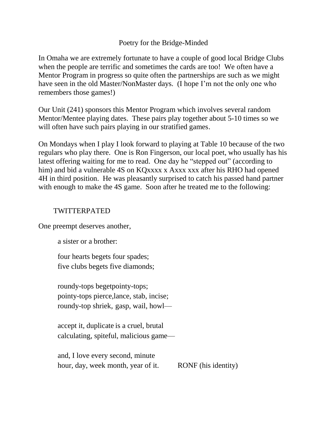## Poetry for the Bridge-Minded

In Omaha we are extremely fortunate to have a couple of good local Bridge Clubs when the people are terrific and sometimes the cards are too! We often have a Mentor Program in progress so quite often the partnerships are such as we might have seen in the old Master/NonMaster days. (I hope I'm not the only one who remembers those games!)

Our Unit (241) sponsors this Mentor Program which involves several random Mentor/Mentee playing dates. These pairs play together about 5-10 times so we will often have such pairs playing in our stratified games.

On Mondays when I play I look forward to playing at Table 10 because of the two regulars who play there. One is Ron Fingerson, our local poet, who usually has his latest offering waiting for me to read. One day he "stepped out" (according to him) and bid a vulnerable 4S on KQxxxx x Axxx xxx after his RHO had opened 4H in third position. He was pleasantly surprised to catch his passed hand partner with enough to make the 4S game. Soon after he treated me to the following:

# TWITTERPATED

One preempt deserves another,

a sister or a brother:

four hearts begets four spades; five clubs begets five diamonds;

roundy-tops begetpointy-tops; pointy-tops pierce,lance, stab, incise; roundy-top shriek, gasp, wail, howl—

accept it, duplicate is a cruel, brutal calculating, spiteful, malicious game—

and, I love every second, minute hour, day, week month, year of it. RONF (his identity)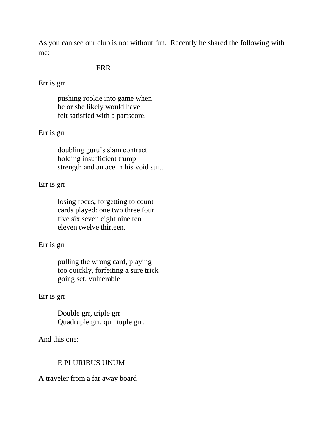As you can see our club is not without fun. Recently he shared the following with me:

### ERR

Err is grr

pushing rookie into game when he or she likely would have felt satisfied with a partscore.

# Err is grr

doubling guru's slam contract holding insufficient trump strength and an ace in his void suit.

## Err is grr

losing focus, forgetting to count cards played: one two three four five six seven eight nine ten eleven twelve thirteen.

## Err is grr

pulling the wrong card, playing too quickly, forfeiting a sure trick going set, vulnerable.

## Err is grr

Double grr, triple grr Quadruple grr, quintuple grr.

And this one:

### E PLURIBUS UNUM

### A traveler from a far away board